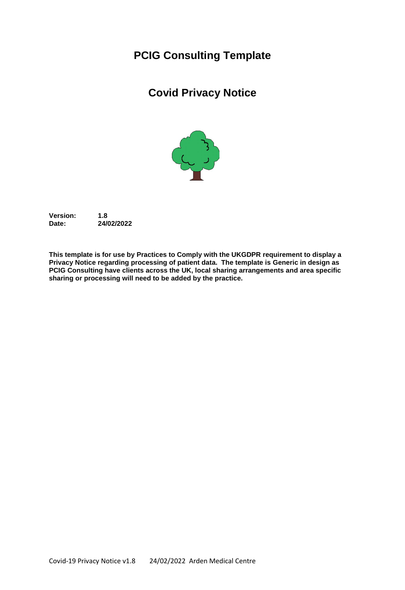# **PCIG Consulting Template**

# **Covid Privacy Notice**



**Version: 1.8 Date: 24/02/2022**

**This template is for use by Practices to Comply with the UKGDPR requirement to display a Privacy Notice regarding processing of patient data. The template is Generic in design as PCIG Consulting have clients across the UK, local sharing arrangements and area specific sharing or processing will need to be added by the practice.**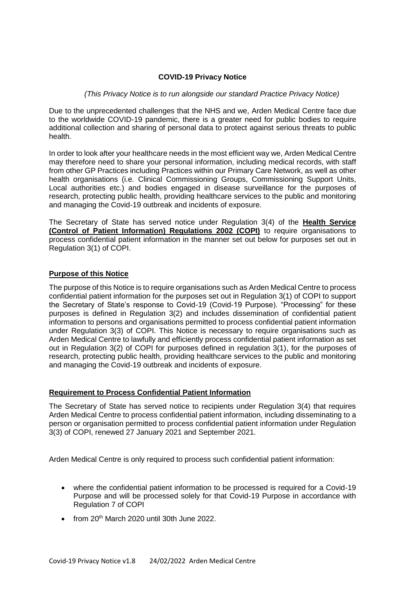# **COVID-19 Privacy Notice**

## *(This Privacy Notice is to run alongside our standard Practice Privacy Notice)*

Due to the unprecedented challenges that the NHS and we, Arden Medical Centre face due to the worldwide COVID-19 pandemic, there is a greater need for public bodies to require additional collection and sharing of personal data to protect against serious threats to public health.

In order to look after your healthcare needs in the most efficient way we, Arden Medical Centre may therefore need to share your personal information, including medical records, with staff from other GP Practices including Practices within our Primary Care Network, as well as other health organisations (i.e. Clinical Commissioning Groups, Commissioning Support Units, Local authorities etc.) and bodies engaged in disease surveillance for the purposes of research, protecting public health, providing healthcare services to the public and monitoring and managing the Covid-19 outbreak and incidents of exposure.

The Secretary of State has served notice under Regulation 3(4) of the **Health Service (Control of Patient Information) Regulations 2002 (COPI)** to require organisations to process confidential patient information in the manner set out below for purposes set out in Regulation 3(1) of COPI.

# **Purpose of this Notice**

The purpose of this Notice is to require organisations such as Arden Medical Centre to process confidential patient information for the purposes set out in Regulation 3(1) of COPI to support the Secretary of State's response to Covid-19 (Covid-19 Purpose). "Processing" for these purposes is defined in Regulation 3(2) and includes dissemination of confidential patient information to persons and organisations permitted to process confidential patient information under Regulation 3(3) of COPI. This Notice is necessary to require organisations such as Arden Medical Centre to lawfully and efficiently process confidential patient information as set out in Regulation 3(2) of COPI for purposes defined in regulation 3(1), for the purposes of research, protecting public health, providing healthcare services to the public and monitoring and managing the Covid-19 outbreak and incidents of exposure.

#### **Requirement to Process Confidential Patient Information**

The Secretary of State has served notice to recipients under Regulation 3(4) that requires Arden Medical Centre to process confidential patient information, including disseminating to a person or organisation permitted to process confidential patient information under Regulation 3(3) of COPI, renewed 27 January 2021 and September 2021.

Arden Medical Centre is only required to process such confidential patient information:

- where the confidential patient information to be processed is required for a Covid-19 Purpose and will be processed solely for that Covid-19 Purpose in accordance with Regulation 7 of COPI
- $\bullet$  from 20<sup>th</sup> March 2020 until 30th June 2022.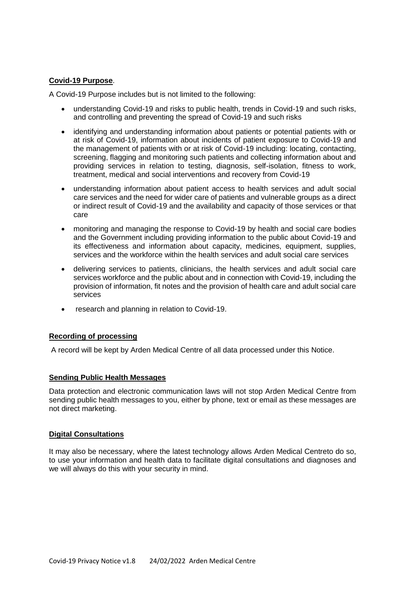# **Covid-19 Purpose**.

A Covid-19 Purpose includes but is not limited to the following:

- understanding Covid-19 and risks to public health, trends in Covid-19 and such risks, and controlling and preventing the spread of Covid-19 and such risks
- identifying and understanding information about patients or potential patients with or at risk of Covid-19, information about incidents of patient exposure to Covid-19 and the management of patients with or at risk of Covid-19 including: locating, contacting, screening, flagging and monitoring such patients and collecting information about and providing services in relation to testing, diagnosis, self-isolation, fitness to work, treatment, medical and social interventions and recovery from Covid-19
- understanding information about patient access to health services and adult social care services and the need for wider care of patients and vulnerable groups as a direct or indirect result of Covid-19 and the availability and capacity of those services or that care
- monitoring and managing the response to Covid-19 by health and social care bodies and the Government including providing information to the public about Covid-19 and its effectiveness and information about capacity, medicines, equipment, supplies, services and the workforce within the health services and adult social care services
- delivering services to patients, clinicians, the health services and adult social care services workforce and the public about and in connection with Covid-19, including the provision of information, fit notes and the provision of health care and adult social care services
- research and planning in relation to Covid-19.

#### **Recording of processing**

A record will be kept by Arden Medical Centre of all data processed under this Notice.

#### **Sending Public Health Messages**

Data protection and electronic communication laws will not stop Arden Medical Centre from sending public health messages to you, either by phone, text or email as these messages are not direct marketing.

#### **Digital Consultations**

It may also be necessary, where the latest technology allows Arden Medical Centreto do so, to use your information and health data to facilitate digital consultations and diagnoses and we will always do this with your security in mind.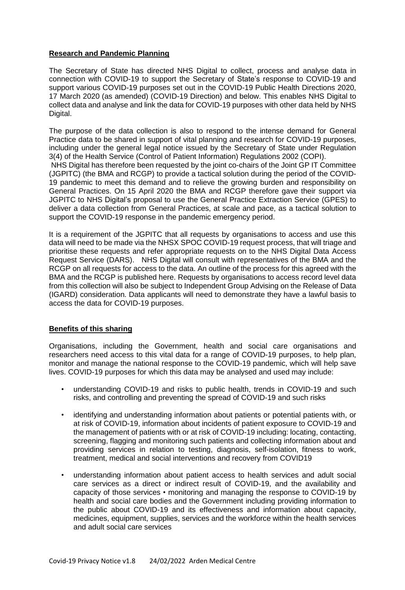# **Research and Pandemic Planning**

The Secretary of State has directed NHS Digital to collect, process and analyse data in connection with COVID-19 to support the Secretary of State's response to COVID-19 and support various COVID-19 purposes set out in the COVID-19 Public Health Directions 2020, 17 March 2020 (as amended) (COVID-19 Direction) and below. This enables NHS Digital to collect data and analyse and link the data for COVID-19 purposes with other data held by NHS Digital.

The purpose of the data collection is also to respond to the intense demand for General Practice data to be shared in support of vital planning and research for COVID-19 purposes, including under the general legal notice issued by the Secretary of State under Regulation 3(4) of the Health Service (Control of Patient Information) Regulations 2002 (COPI).

NHS Digital has therefore been requested by the joint co-chairs of the Joint GP IT Committee (JGPITC) (the BMA and RCGP) to provide a tactical solution during the period of the COVID-19 pandemic to meet this demand and to relieve the growing burden and responsibility on General Practices. On 15 April 2020 the BMA and RCGP therefore gave their support via JGPITC to NHS Digital's proposal to use the General Practice Extraction Service (GPES) to deliver a data collection from General Practices, at scale and pace, as a tactical solution to support the COVID-19 response in the pandemic emergency period.

It is a requirement of the JGPITC that all requests by organisations to access and use this data will need to be made via the NHSX SPOC COVID-19 request process, that will triage and prioritise these requests and refer appropriate requests on to the NHS Digital Data Access Request Service (DARS). NHS Digital will consult with representatives of the BMA and the RCGP on all requests for access to the data. An outline of the process for this agreed with the BMA and the RCGP is published here. Requests by organisations to access record level data from this collection will also be subject to Independent Group Advising on the Release of Data (IGARD) consideration. Data applicants will need to demonstrate they have a lawful basis to access the data for COVID-19 purposes.

#### **Benefits of this sharing**

Organisations, including the Government, health and social care organisations and researchers need access to this vital data for a range of COVID-19 purposes, to help plan, monitor and manage the national response to the COVID-19 pandemic, which will help save lives. COVID-19 purposes for which this data may be analysed and used may include:

- understanding COVID-19 and risks to public health, trends in COVID-19 and such risks, and controlling and preventing the spread of COVID-19 and such risks
- identifying and understanding information about patients or potential patients with, or at risk of COVID-19, information about incidents of patient exposure to COVID-19 and the management of patients with or at risk of COVID-19 including: locating, contacting, screening, flagging and monitoring such patients and collecting information about and providing services in relation to testing, diagnosis, self-isolation, fitness to work, treatment, medical and social interventions and recovery from COVID19
- understanding information about patient access to health services and adult social care services as a direct or indirect result of COVID-19, and the availability and capacity of those services • monitoring and managing the response to COVID-19 by health and social care bodies and the Government including providing information to the public about COVID-19 and its effectiveness and information about capacity, medicines, equipment, supplies, services and the workforce within the health services and adult social care services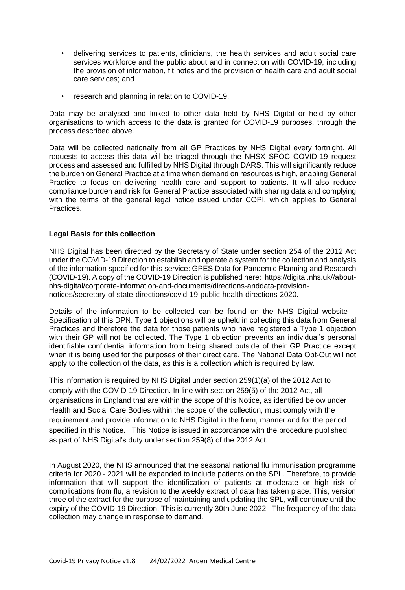- delivering services to patients, clinicians, the health services and adult social care services workforce and the public about and in connection with COVID-19, including the provision of information, fit notes and the provision of health care and adult social care services; and
- research and planning in relation to COVID-19.

Data may be analysed and linked to other data held by NHS Digital or held by other organisations to which access to the data is granted for COVID-19 purposes, through the process described above.

Data will be collected nationally from all GP Practices by NHS Digital every fortnight. All requests to access this data will be triaged through the NHSX SPOC COVID-19 request process and assessed and fulfilled by NHS Digital through DARS. This will significantly reduce the burden on General Practice at a time when demand on resources is high, enabling General Practice to focus on delivering health care and support to patients. It will also reduce compliance burden and risk for General Practice associated with sharing data and complying with the terms of the general legal notice issued under COPI, which applies to General Practices.

## **Legal Basis for this collection**

NHS Digital has been directed by the Secretary of State under section 254 of the 2012 Act under the COVID-19 Direction to establish and operate a system for the collection and analysis of the information specified for this service: GPES Data for Pandemic Planning and Research (COVID-19). A copy of the COVID-19 Direction is published here: https://digital.nhs.uk//aboutnhs-digital/corporate-information-and-documents/directions-anddata-provisionnotices/secretary-of-state-directions/covid-19-public-health-directions-2020.

Details of the information to be collected can be found on the NHS Digital website – Specification of this DPN. Type 1 objections will be upheld in collecting this data from General Practices and therefore the data for those patients who have registered a Type 1 objection with their GP will not be collected. The Type 1 objection prevents an individual's personal identifiable confidential information from being shared outside of their GP Practice except when it is being used for the purposes of their direct care. The National Data Opt-Out will not apply to the collection of the data, as this is a collection which is required by law.

This information is required by NHS Digital under section 259(1)(a) of the 2012 Act to comply with the COVID-19 Direction. In line with section 259(5) of the 2012 Act, all organisations in England that are within the scope of this Notice, as identified below under Health and Social Care Bodies within the scope of the collection, must comply with the requirement and provide information to NHS Digital in the form, manner and for the period specified in this Notice. This Notice is issued in accordance with the procedure published as part of NHS Digital's duty under section 259(8) of the 2012 Act.

In August 2020, the NHS announced that the seasonal national flu immunisation programme criteria for 2020 - 2021 will be expanded to include patients on the SPL. Therefore, to provide information that will support the identification of patients at moderate or high risk of complications from flu, a revision to the weekly extract of data has taken place. This, version three of the extract for the purpose of maintaining and updating the SPL, will continue until the expiry of the COVID-19 Direction. This is currently 30th June 2022. The frequency of the data collection may change in response to demand.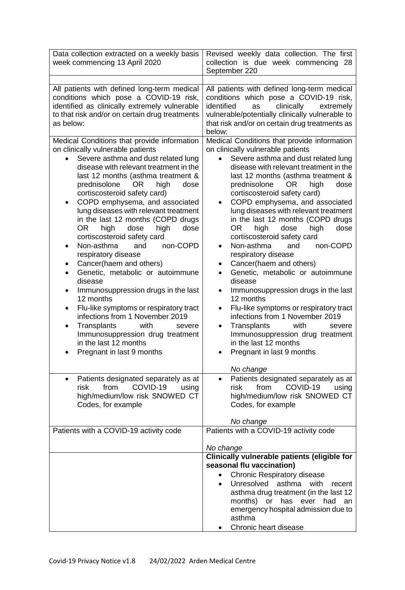| Data collection extracted on a weekly basis<br>week commencing 13 April 2020                                                                                                                                                                                                                                                                                                                                                                                                                                                                                                                                                                                                                                                                                                                                                                                                                            | Revised weekly data collection. The first<br>collection is due week commencing 28<br>September 220                                                                                                                                                                                                                                                                                                                                                                                                                                                                                                                                                                                                                                                                                                                                                                                                                                       |
|---------------------------------------------------------------------------------------------------------------------------------------------------------------------------------------------------------------------------------------------------------------------------------------------------------------------------------------------------------------------------------------------------------------------------------------------------------------------------------------------------------------------------------------------------------------------------------------------------------------------------------------------------------------------------------------------------------------------------------------------------------------------------------------------------------------------------------------------------------------------------------------------------------|------------------------------------------------------------------------------------------------------------------------------------------------------------------------------------------------------------------------------------------------------------------------------------------------------------------------------------------------------------------------------------------------------------------------------------------------------------------------------------------------------------------------------------------------------------------------------------------------------------------------------------------------------------------------------------------------------------------------------------------------------------------------------------------------------------------------------------------------------------------------------------------------------------------------------------------|
| All patients with defined long-term medical<br>conditions which pose a COVID-19 risk,<br>identified as clinically extremely vulnerable<br>to that risk and/or on certain drug treatments<br>as below:                                                                                                                                                                                                                                                                                                                                                                                                                                                                                                                                                                                                                                                                                                   | All patients with defined long-term medical<br>conditions which pose a COVID-19 risk,<br>identified<br>clinically<br>as<br>extremely<br>vulnerable/potentially clinically vulnerable to<br>that risk and/or on certain drug treatments as<br>below:                                                                                                                                                                                                                                                                                                                                                                                                                                                                                                                                                                                                                                                                                      |
| Medical Conditions that provide information<br>on clinically vulnerable patients<br>Severe asthma and dust related lung<br>$\bullet$<br>disease with relevant treatment in the<br>last 12 months (asthma treatment &<br>prednisolone<br><b>OR</b><br>high<br>dose<br>cortiscosteroid safety card)<br>COPD emphysema, and associated<br>lung diseases with relevant treatment<br>in the last 12 months (COPD drugs<br>OR.<br>dose<br>high<br>high<br>dose<br>cortiscosteroid safety card<br>Non-asthma<br>non-COPD<br>and<br>respiratory disease<br>Cancer(haem and others)<br>Genetic, metabolic or autoimmune<br>$\bullet$<br>disease<br>Immunosuppression drugs in the last<br>12 months<br>Flu-like symptoms or respiratory tract<br>infections from 1 November 2019<br>Transplants<br>with<br>severe<br>٠<br>Immunosuppression drug treatment<br>in the last 12 months<br>Pregnant in last 9 months | Medical Conditions that provide information<br>on clinically vulnerable patients<br>Severe asthma and dust related lung<br>$\bullet$<br>disease with relevant treatment in the<br>last 12 months (asthma treatment &<br>prednisolone<br>OR.<br>high<br>dose<br>cortiscosteroid safety card)<br>COPD emphysema, and associated<br>lung diseases with relevant treatment<br>in the last 12 months (COPD drugs<br>OR.<br>high<br>dose<br>dose<br>high<br>cortiscosteroid safety card<br>Non-asthma<br>non-COPD<br>and<br>$\bullet$<br>respiratory disease<br>Cancer(haem and others)<br>$\bullet$<br>Genetic, metabolic or autoimmune<br>$\bullet$<br>disease<br>Immunosuppression drugs in the last<br>$\bullet$<br>12 months<br>Flu-like symptoms or respiratory tract<br>infections from 1 November 2019<br>Transplants<br>with<br>severe<br>٠<br>Immunosuppression drug treatment<br>in the last 12 months<br>Pregnant in last 9 months |
| Patients designated separately as at<br>$\bullet$<br>from<br>COVID-19<br>risk<br>using<br>high/medium/low risk SNOWED CT<br>Codes, for example                                                                                                                                                                                                                                                                                                                                                                                                                                                                                                                                                                                                                                                                                                                                                          | No change<br>Patients designated separately as at<br>٠<br>from<br>COVID-19<br>risk<br>using<br>high/medium/low risk SNOWED CT<br>Codes, for example                                                                                                                                                                                                                                                                                                                                                                                                                                                                                                                                                                                                                                                                                                                                                                                      |
| Patients with a COVID-19 activity code                                                                                                                                                                                                                                                                                                                                                                                                                                                                                                                                                                                                                                                                                                                                                                                                                                                                  | No change<br>Patients with a COVID-19 activity code                                                                                                                                                                                                                                                                                                                                                                                                                                                                                                                                                                                                                                                                                                                                                                                                                                                                                      |
|                                                                                                                                                                                                                                                                                                                                                                                                                                                                                                                                                                                                                                                                                                                                                                                                                                                                                                         | No change                                                                                                                                                                                                                                                                                                                                                                                                                                                                                                                                                                                                                                                                                                                                                                                                                                                                                                                                |
|                                                                                                                                                                                                                                                                                                                                                                                                                                                                                                                                                                                                                                                                                                                                                                                                                                                                                                         | Clinically vulnerable patients (eligible for<br>seasonal flu vaccination)<br><b>Chronic Respiratory disease</b><br>$\bullet$<br>Unresolved<br>asthma<br>with<br>recent<br>$\bullet$<br>asthma drug treatment (in the last 12<br>months)<br>or<br>has<br>ever<br>had<br>an<br>emergency hospital admission due to<br>asthma<br>Chronic heart disease                                                                                                                                                                                                                                                                                                                                                                                                                                                                                                                                                                                      |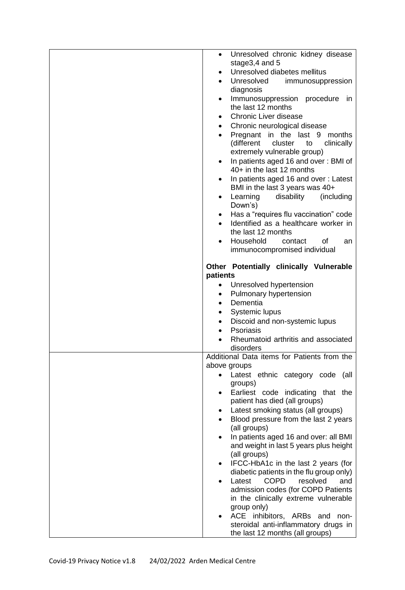| Unresolved chronic kidney disease<br>$\bullet$                                                               |
|--------------------------------------------------------------------------------------------------------------|
| stage3,4 and 5<br>Unresolved diabetes mellitus<br>$\bullet$                                                  |
| Unresolved<br>immunosuppression<br>$\bullet$                                                                 |
| diagnosis                                                                                                    |
| Immunosuppression procedure<br>in<br>$\bullet$<br>the last 12 months                                         |
| <b>Chronic Liver disease</b><br>$\bullet$                                                                    |
| Chronic neurological disease                                                                                 |
| Pregnant in the last 9<br>months<br>(different<br>cluster<br>clinically<br>to<br>extremely vulnerable group) |
| In patients aged 16 and over: BMI of<br>$\bullet$<br>40+ in the last 12 months                               |
| In patients aged 16 and over: Latest                                                                         |
| BMI in the last 3 years was 40+<br>Learning<br>disability<br>(including<br>$\bullet$<br>Down's)              |
| Has a "requires flu vaccination" code<br>$\bullet$                                                           |
| Identified as a healthcare worker in<br>the last 12 months                                                   |
| Household<br>contact<br>οf<br>an                                                                             |
| immunocompromised individual                                                                                 |
| Other Potentially clinically Vulnerable<br>patients                                                          |
| Unresolved hypertension                                                                                      |
| Pulmonary hypertension<br>٠                                                                                  |
| Dementia<br>$\bullet$                                                                                        |
| <b>Systemic lupus</b><br>٠                                                                                   |
| Discoid and non-systemic lupus<br>٠                                                                          |
| <b>Psoriasis</b>                                                                                             |
| Rheumatoid arthritis and associated<br>disorders                                                             |
| Additional Data items for Patients from the                                                                  |
| above groups                                                                                                 |
| Latest ethnic category code (all                                                                             |
| groups)<br>Earliest code indicating that the<br>$\bullet$                                                    |
| patient has died (all groups)                                                                                |
| Latest smoking status (all groups)                                                                           |
| Blood pressure from the last 2 years                                                                         |
| (all groups)                                                                                                 |
| In patients aged 16 and over: all BMI                                                                        |
| and weight in last 5 years plus height                                                                       |
| (all groups)<br>IFCC-HbA1c in the last 2 years (for<br>٠                                                     |
| diabetic patients in the flu group only)                                                                     |
| <b>COPD</b><br>Latest<br>resolved<br>and                                                                     |
| admission codes (for COPD Patients                                                                           |
| in the clinically extreme vulnerable                                                                         |
| group only)                                                                                                  |
| ACE inhibitors, ARBs and non-<br>$\bullet$<br>steroidal anti-inflammatory drugs in                           |
|                                                                                                              |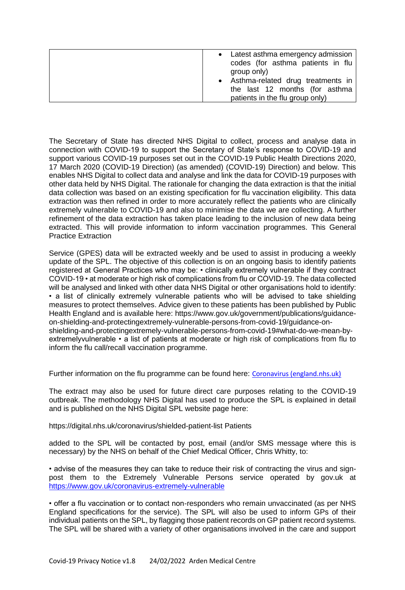| • Latest asthma emergency admission<br>codes (for asthma patients in flu<br>group only)<br>• Asthma-related drug treatments in<br>the last 12 months (for asthma |
|------------------------------------------------------------------------------------------------------------------------------------------------------------------|
| patients in the flu group only)                                                                                                                                  |

The Secretary of State has directed NHS Digital to collect, process and analyse data in connection with COVID-19 to support the Secretary of State's response to COVID-19 and support various COVID-19 purposes set out in the COVID-19 Public Health Directions 2020, 17 March 2020 (COVID-19 Direction) (as amended) (COVID-19) Direction) and below. This enables NHS Digital to collect data and analyse and link the data for COVID-19 purposes with other data held by NHS Digital. The rationale for changing the data extraction is that the initial data collection was based on an existing specification for flu vaccination eligibility. This data extraction was then refined in order to more accurately reflect the patients who are clinically extremely vulnerable to COVID-19 and also to minimise the data we are collecting. A further refinement of the data extraction has taken place leading to the inclusion of new data being extracted. This will provide information to inform vaccination programmes. This General Practice Extraction

Service (GPES) data will be extracted weekly and be used to assist in producing a weekly update of the SPL. The objective of this collection is on an ongoing basis to identify patients registered at General Practices who may be: • clinically extremely vulnerable if they contract COVID-19 • at moderate or high risk of complications from flu or COVID-19. The data collected will be analysed and linked with other data NHS Digital or other organisations hold to identify: • a list of clinically extremely vulnerable patients who will be advised to take shielding measures to protect themselves. Advice given to these patients has been published by Public Health England and is available here: https://www.gov.uk/government/publications/guidanceon-shielding-and-protectingextremely-vulnerable-persons-from-covid-19/guidance-onshielding-and-protectingextremely-vulnerable-persons-from-covid-19#what-do-we-mean-byextremelyvulnerable • a list of patients at moderate or high risk of complications from flu to inform the flu call/recall vaccination programme.

Further information on the flu programme can be found here: [Coronavirus \(england.nhs.uk\)](https://www.england.nhs.uk/coronavirus/)

The extract may also be used for future direct care purposes relating to the COVID-19 outbreak. The methodology NHS Digital has used to produce the SPL is explained in detail and is published on the NHS Digital SPL website page here:

https://digital.nhs.uk/coronavirus/shielded-patient-list Patients

added to the SPL will be contacted by post, email (and/or SMS message where this is necessary) by the NHS on behalf of the Chief Medical Officer, Chris Whitty, to:

• advise of the measures they can take to reduce their risk of contracting the virus and signpost them to the Extremely Vulnerable Persons service operated by gov.uk at <https://www.gov.uk/coronavirus-extremely-vulnerable>

• offer a flu vaccination or to contact non-responders who remain unvaccinated (as per NHS England specifications for the service). The SPL will also be used to inform GPs of their individual patients on the SPL, by flagging those patient records on GP patient record systems. The SPL will be shared with a variety of other organisations involved in the care and support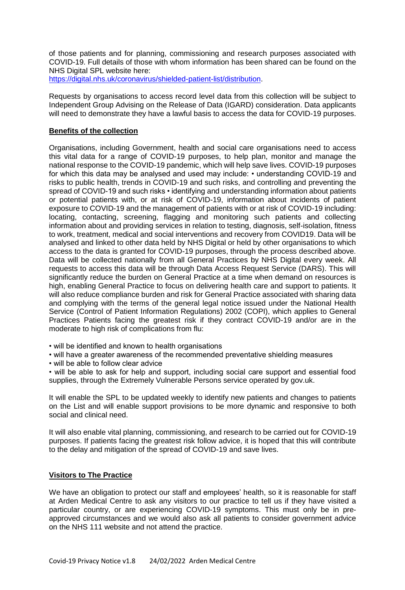of those patients and for planning, commissioning and research purposes associated with COVID-19. Full details of those with whom information has been shared can be found on the NHS Digital SPL website here:

[https://digital.nhs.uk/coronavirus/shielded-patient-list/distribution.](https://digital.nhs.uk/coronavirus/shielded-patient-list/distribution)

Requests by organisations to access record level data from this collection will be subject to Independent Group Advising on the Release of Data (IGARD) consideration. Data applicants will need to demonstrate they have a lawful basis to access the data for COVID-19 purposes.

## **Benefits of the collection**

Organisations, including Government, health and social care organisations need to access this vital data for a range of COVID-19 purposes, to help plan, monitor and manage the national response to the COVID-19 pandemic, which will help save lives. COVID-19 purposes for which this data may be analysed and used may include: • understanding COVID-19 and risks to public health, trends in COVID-19 and such risks, and controlling and preventing the spread of COVID-19 and such risks • identifying and understanding information about patients or potential patients with, or at risk of COVID-19, information about incidents of patient exposure to COVID-19 and the management of patients with or at risk of COVID-19 including: locating, contacting, screening, flagging and monitoring such patients and collecting information about and providing services in relation to testing, diagnosis, self-isolation, fitness to work, treatment, medical and social interventions and recovery from COVID19. Data will be analysed and linked to other data held by NHS Digital or held by other organisations to which access to the data is granted for COVID-19 purposes, through the process described above. Data will be collected nationally from all General Practices by NHS Digital every week. All requests to access this data will be through Data Access Request Service (DARS). This will significantly reduce the burden on General Practice at a time when demand on resources is high, enabling General Practice to focus on delivering health care and support to patients. It will also reduce compliance burden and risk for General Practice associated with sharing data and complying with the terms of the general legal notice issued under the National Health Service (Control of Patient Information Regulations) 2002 (COPI), which applies to General Practices Patients facing the greatest risk if they contract COVID-19 and/or are in the moderate to high risk of complications from flu:

- will be identified and known to health organisations
- will have a greater awareness of the recommended preventative shielding measures
- will be able to follow clear advice

• will be able to ask for help and support, including social care support and essential food supplies, through the Extremely Vulnerable Persons service operated by gov.uk.

It will enable the SPL to be updated weekly to identify new patients and changes to patients on the List and will enable support provisions to be more dynamic and responsive to both social and clinical need.

It will also enable vital planning, commissioning, and research to be carried out for COVID-19 purposes. If patients facing the greatest risk follow advice, it is hoped that this will contribute to the delay and mitigation of the spread of COVID-19 and save lives.

#### **Visitors to The Practice**

We have an obligation to protect our staff and employees' health, so it is reasonable for staff at Arden Medical Centre to ask any visitors to our practice to tell us if they have visited a particular country, or are experiencing COVID-19 symptoms. This must only be in preapproved circumstances and we would also ask all patients to consider government advice on the NHS 111 website and not attend the practice.